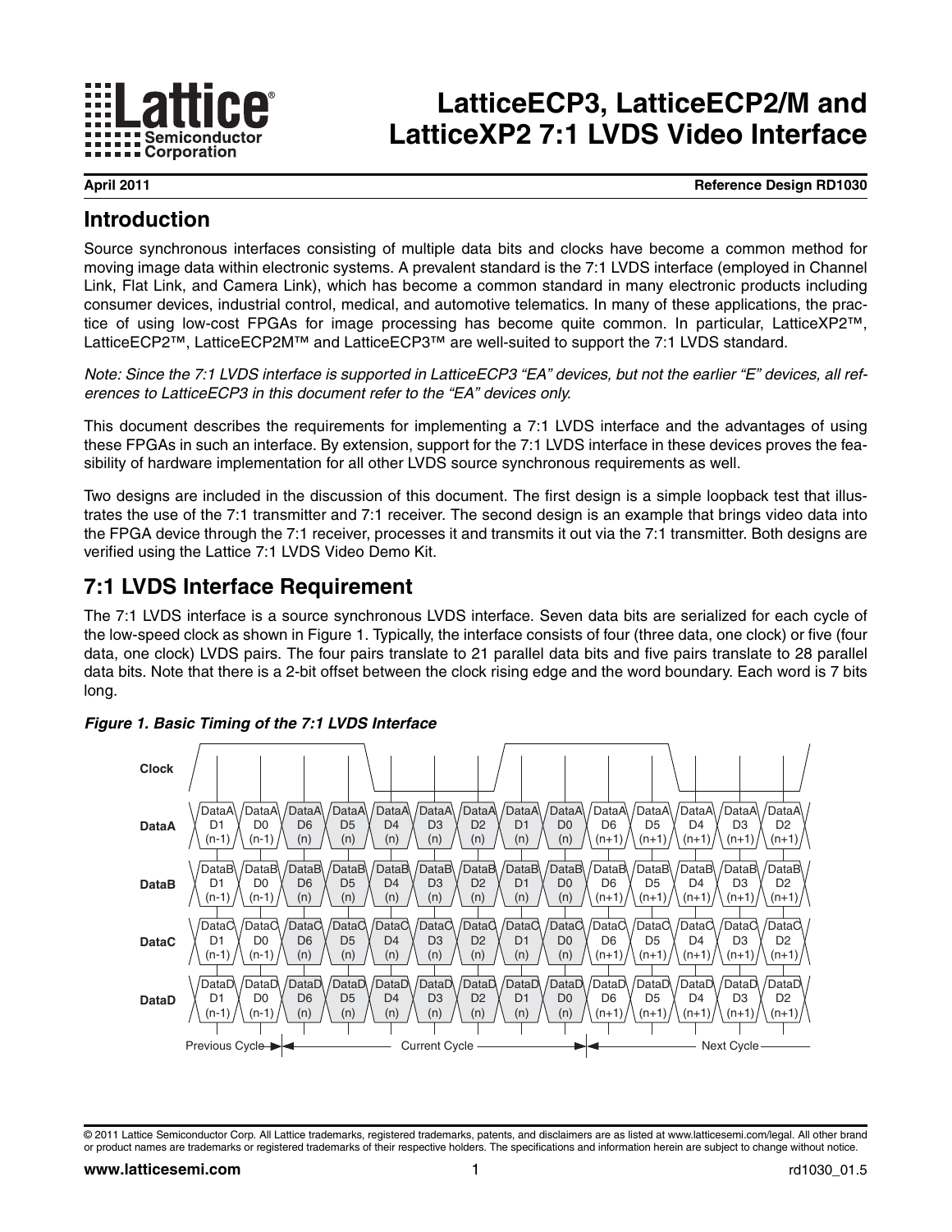

# **LatticeECP3, LatticeECP2/M and LatticeXP2 7:1 LVDS Video Interface**

**April 2011 Reference Design RD1030**

## **Introduction**

Source synchronous interfaces consisting of multiple data bits and clocks have become a common method for moving image data within electronic systems. A prevalent standard is the 7:1 LVDS interface (employed in Channel Link, Flat Link, and Camera Link), which has become a common standard in many electronic products including consumer devices, industrial control, medical, and automotive telematics. In many of these applications, the practice of using low-cost FPGAs for image processing has become quite common. In particular, LatticeXP2™, LatticeECP2™, LatticeECP2M™ and LatticeECP3™ are well-suited to support the 7:1 LVDS standard.

*Note: Since the 7:1 LVDS interface is supported in LatticeECP3 "EA" devices, but not the earlier "E" devices, all references to LatticeECP3 in this document refer to the "EA" devices only.*

This document describes the requirements for implementing a 7:1 LVDS interface and the advantages of using these FPGAs in such an interface. By extension, support for the 7:1 LVDS interface in these devices proves the feasibility of hardware implementation for all other LVDS source synchronous requirements as well.

Two designs are included in the discussion of this document. The first design is a simple loopback test that illustrates the use of the 7:1 transmitter and 7:1 receiver. The second design is an example that brings video data into the FPGA device through the 7:1 receiver, processes it and transmits it out via the 7:1 transmitter. Both designs are verified using the Lattice 7:1 LVDS Video Demo Kit.

## **7:1 LVDS Interface Requirement**

The 7:1 LVDS interface is a source synchronous LVDS interface. Seven data bits are serialized for each cycle of the low-speed clock as shown in [Figure 1.](#page-0-0) Typically, the interface consists of four (three data, one clock) or five (four data, one clock) LVDS pairs. The four pairs translate to 21 parallel data bits and five pairs translate to 28 parallel data bits. Note that there is a 2-bit offset between the clock rising edge and the word boundary. Each word is 7 bits long.



<span id="page-0-0"></span>*Figure 1. Basic Timing of the 7:1 LVDS Interface*

© 2011 Lattice Semiconductor Corp. All Lattice trademarks, registered trademarks, patents, and disclaimers are as listed at www.latticesemi.com/legal. All other brand or product names are trademarks or registered trademarks of their respective holders. The specifications and information herein are subject to change without notice.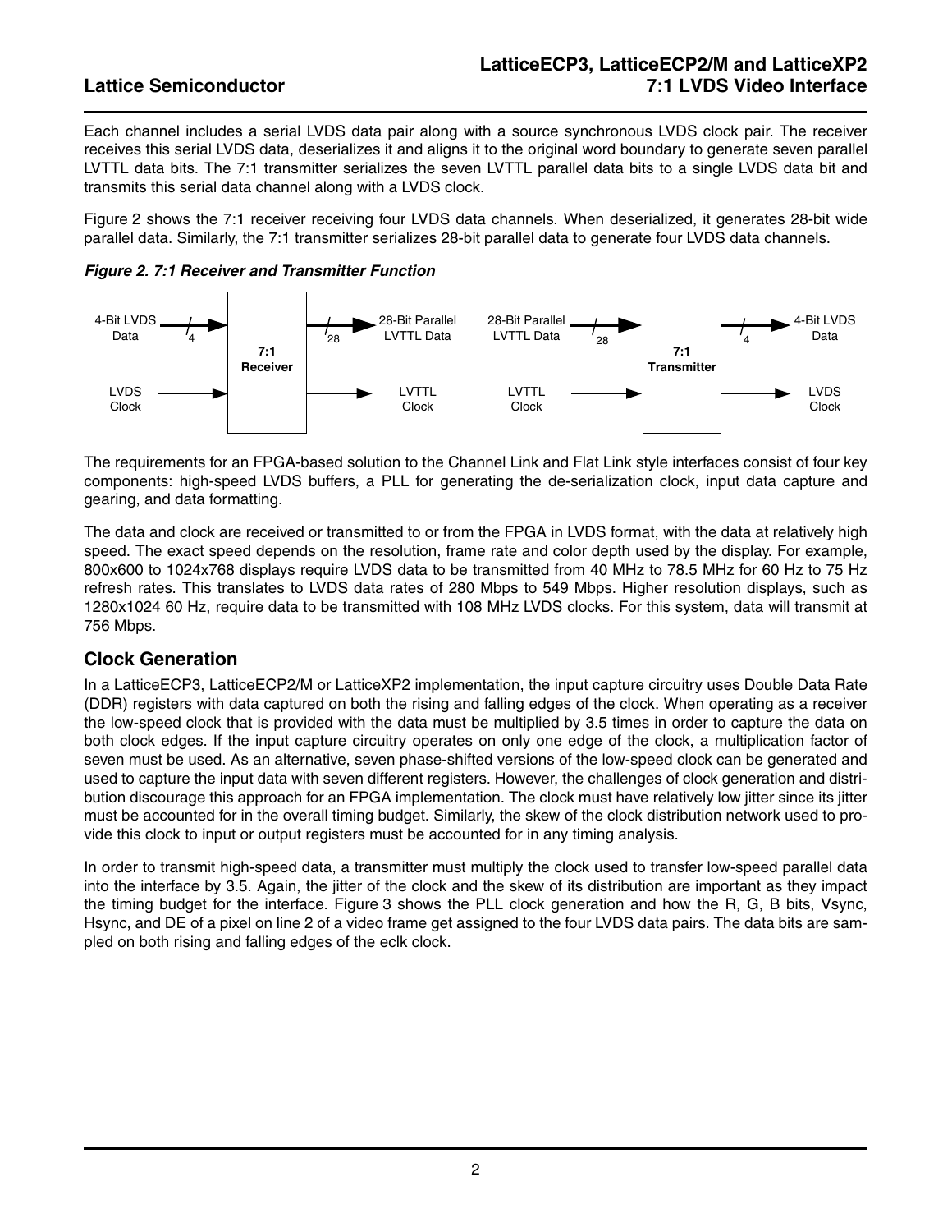Each channel includes a serial LVDS data pair along with a source synchronous LVDS clock pair. The receiver receives this serial LVDS data, deserializes it and aligns it to the original word boundary to generate seven parallel LVTTL data bits. The 7:1 transmitter serializes the seven LVTTL parallel data bits to a single LVDS data bit and transmits this serial data channel along with a LVDS clock.

[Figure 2](#page-1-0) shows the 7:1 receiver receiving four LVDS data channels. When deserialized, it generates 28-bit wide parallel data. Similarly, the 7:1 transmitter serializes 28-bit parallel data to generate four LVDS data channels.

<span id="page-1-0"></span>



The requirements for an FPGA-based solution to the Channel Link and Flat Link style interfaces consist of four key components: high-speed LVDS buffers, a PLL for generating the de-serialization clock, input data capture and gearing, and data formatting.

The data and clock are received or transmitted to or from the FPGA in LVDS format, with the data at relatively high speed. The exact speed depends on the resolution, frame rate and color depth used by the display. For example, 800x600 to 1024x768 displays require LVDS data to be transmitted from 40 MHz to 78.5 MHz for 60 Hz to 75 Hz refresh rates. This translates to LVDS data rates of 280 Mbps to 549 Mbps. Higher resolution displays, such as 1280x1024 60 Hz, require data to be transmitted with 108 MHz LVDS clocks. For this system, data will transmit at 756 Mbps.

### **Clock Generation**

In a LatticeECP3, LatticeECP2/M or LatticeXP2 implementation, the input capture circuitry uses Double Data Rate (DDR) registers with data captured on both the rising and falling edges of the clock. When operating as a receiver the low-speed clock that is provided with the data must be multiplied by 3.5 times in order to capture the data on both clock edges. If the input capture circuitry operates on only one edge of the clock, a multiplication factor of seven must be used. As an alternative, seven phase-shifted versions of the low-speed clock can be generated and used to capture the input data with seven different registers. However, the challenges of clock generation and distribution discourage this approach for an FPGA implementation. The clock must have relatively low jitter since its jitter must be accounted for in the overall timing budget. Similarly, the skew of the clock distribution network used to provide this clock to input or output registers must be accounted for in any timing analysis.

In order to transmit high-speed data, a transmitter must multiply the clock used to transfer low-speed parallel data into the interface by 3.5. Again, the jitter of the clock and the skew of its distribution are important as they impact the timing budget for the interface. [Figure 3](#page-2-0) shows the PLL clock generation and how the R, G, B bits, Vsync, Hsync, and DE of a pixel on line 2 of a video frame get assigned to the four LVDS data pairs. The data bits are sampled on both rising and falling edges of the eclk clock.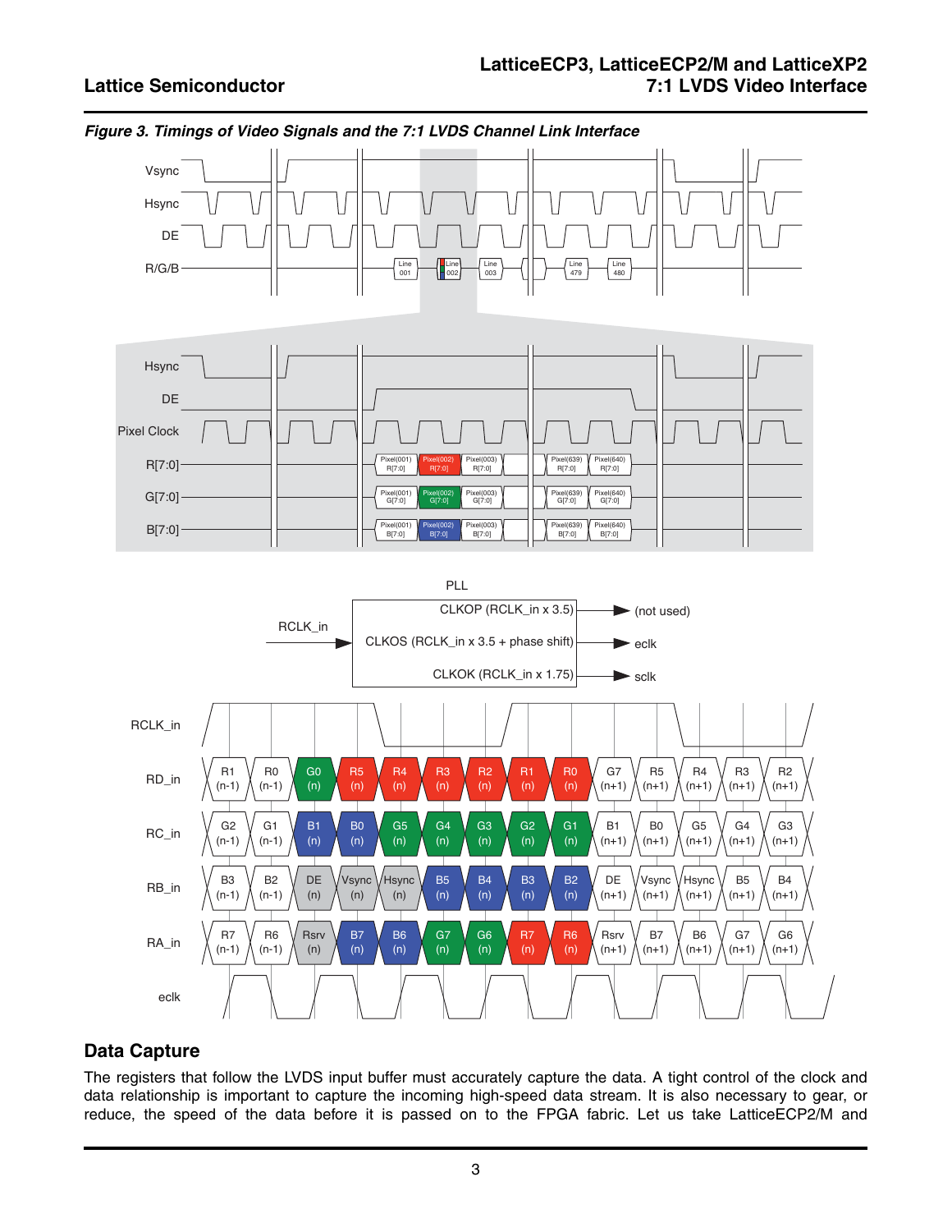

### <span id="page-2-0"></span>*Figure 3. Timings of Video Signals and the 7:1 LVDS Channel Link Interface*

## **Data Capture**

The registers that follow the LVDS input buffer must accurately capture the data. A tight control of the clock and data relationship is important to capture the incoming high-speed data stream. It is also necessary to gear, or reduce, the speed of the data before it is passed on to the FPGA fabric. Let us take LatticeECP2/M and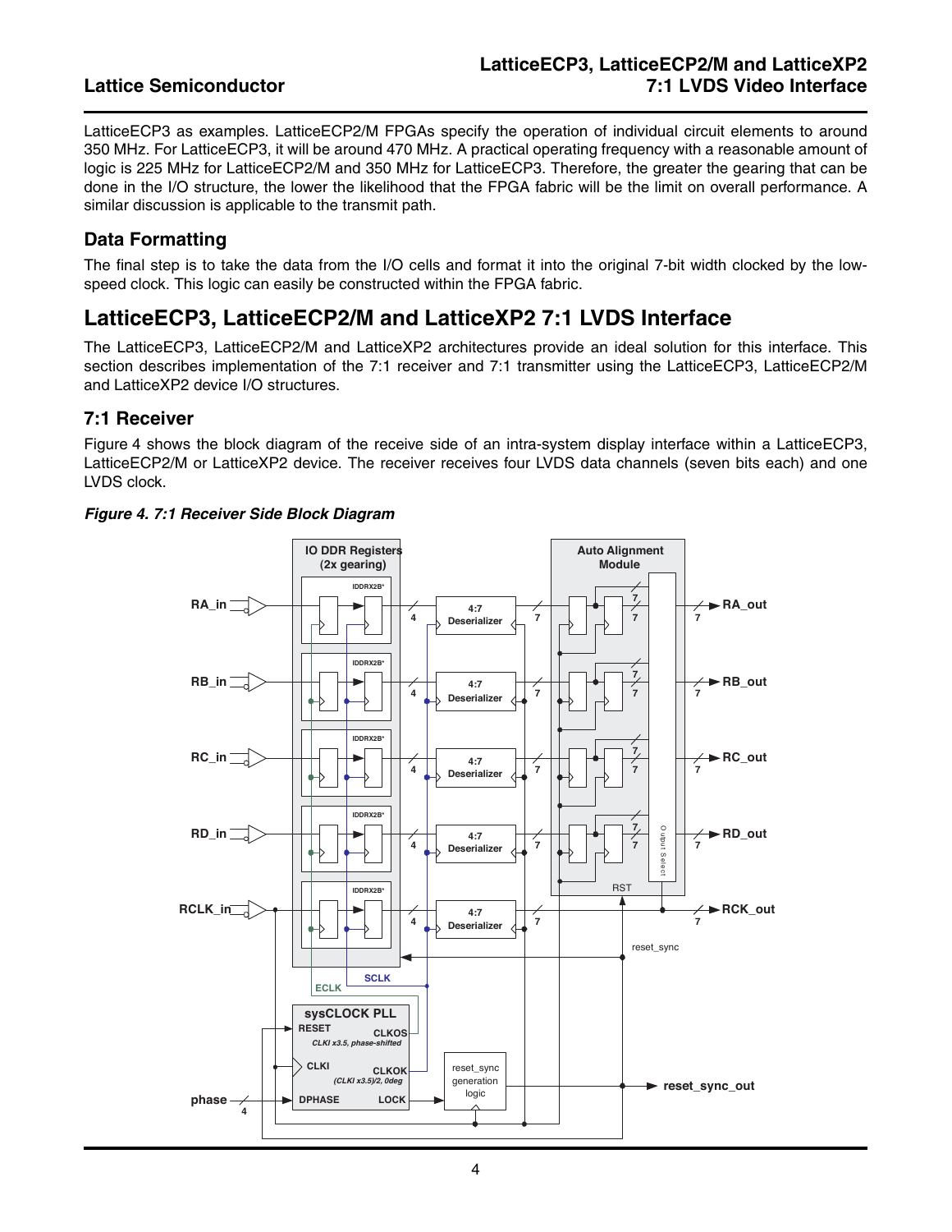LatticeECP3 as examples. LatticeECP2/M FPGAs specify the operation of individual circuit elements to around 350 MHz. For LatticeECP3, it will be around 470 MHz. A practical operating frequency with a reasonable amount of logic is 225 MHz for LatticeECP2/M and 350 MHz for LatticeECP3. Therefore, the greater the gearing that can be done in the I/O structure, the lower the likelihood that the FPGA fabric will be the limit on overall performance. A similar discussion is applicable to the transmit path.

## **Data Formatting**

The final step is to take the data from the I/O cells and format it into the original 7-bit width clocked by the lowspeed clock. This logic can easily be constructed within the FPGA fabric.

## **LatticeECP3, LatticeECP2/M and LatticeXP2 7:1 LVDS Interface**

The LatticeECP3, LatticeECP2/M and LatticeXP2 architectures provide an ideal solution for this interface. This section describes implementation of the 7:1 receiver and 7:1 transmitter using the LatticeECP3, LatticeECP2/M and LatticeXP2 device I/O structures.

### **7:1 Receiver**

[Figure 4](#page-3-0) shows the block diagram of the receive side of an intra-system display interface within a LatticeECP3, LatticeECP2/M or LatticeXP2 device. The receiver receives four LVDS data channels (seven bits each) and one LVDS clock.

### <span id="page-3-0"></span>*Figure 4. 7:1 Receiver Side Block Diagram*

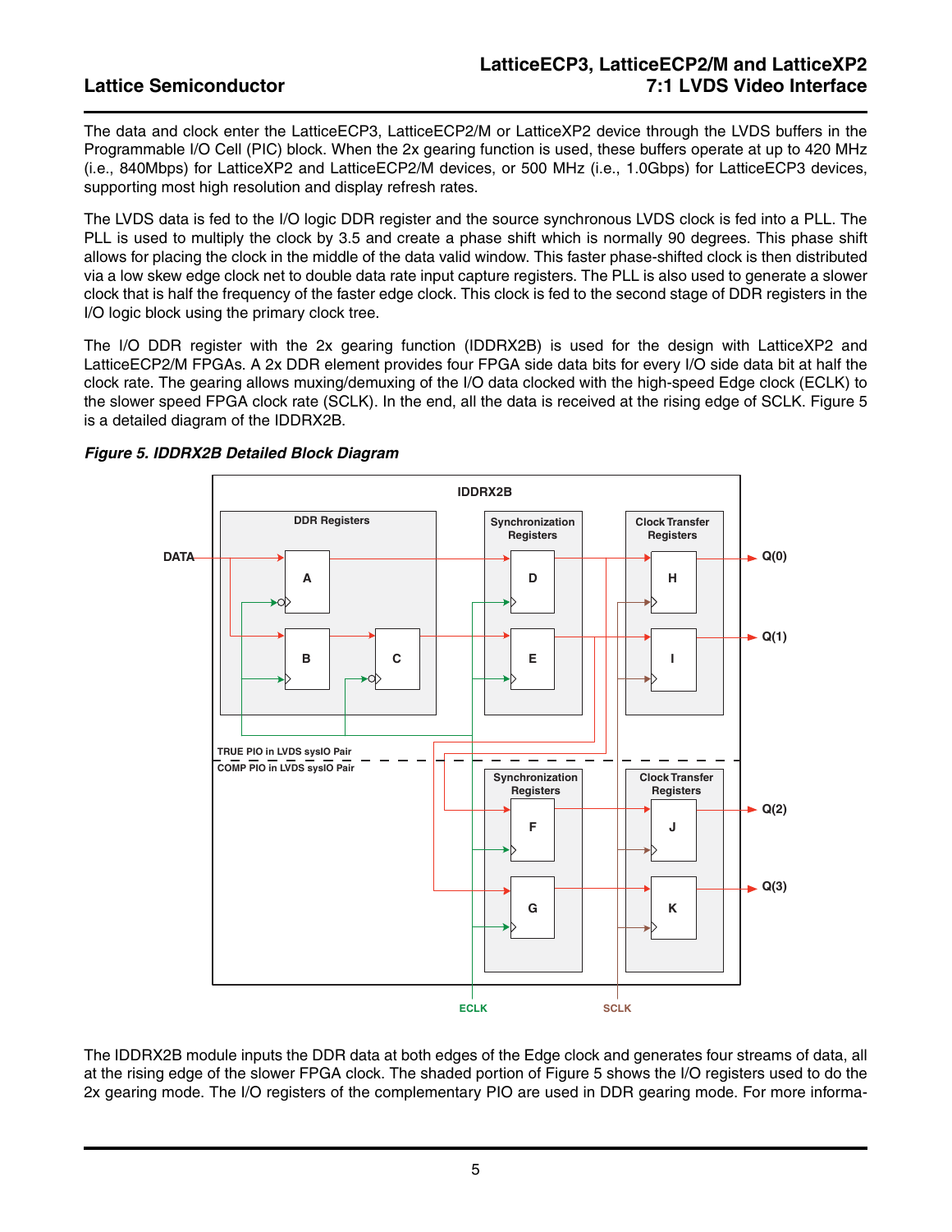The data and clock enter the LatticeECP3, LatticeECP2/M or LatticeXP2 device through the LVDS buffers in the Programmable I/O Cell (PIC) block. When the 2x gearing function is used, these buffers operate at up to 420 MHz (i.e., 840Mbps) for LatticeXP2 and LatticeECP2/M devices, or 500 MHz (i.e., 1.0Gbps) for LatticeECP3 devices, supporting most high resolution and display refresh rates.

The LVDS data is fed to the I/O logic DDR register and the source synchronous LVDS clock is fed into a PLL. The PLL is used to multiply the clock by 3.5 and create a phase shift which is normally 90 degrees. This phase shift allows for placing the clock in the middle of the data valid window. This faster phase-shifted clock is then distributed via a low skew edge clock net to double data rate input capture registers. The PLL is also used to generate a slower clock that is half the frequency of the faster edge clock. This clock is fed to the second stage of DDR registers in the I/O logic block using the primary clock tree.

The I/O DDR register with the 2x gearing function (IDDRX2B) is used for the design with LatticeXP2 and LatticeECP2/M FPGAs. A 2x DDR element provides four FPGA side data bits for every I/O side data bit at half the clock rate. The gearing allows muxing/demuxing of the I/O data clocked with the high-speed Edge clock (ECLK) to the slower speed FPGA clock rate (SCLK). In the end, all the data is received at the rising edge of SCLK. [Figure 5](#page-4-0) is a detailed diagram of the IDDRX2B.



### <span id="page-4-0"></span>*Figure 5. IDDRX2B Detailed Block Diagram*

The IDDRX2B module inputs the DDR data at both edges of the Edge clock and generates four streams of data, all at the rising edge of the slower FPGA clock. The shaded portion of [Figure 5](#page-4-0) shows the I/O registers used to do the 2x gearing mode. The I/O registers of the complementary PIO are used in DDR gearing mode. For more informa-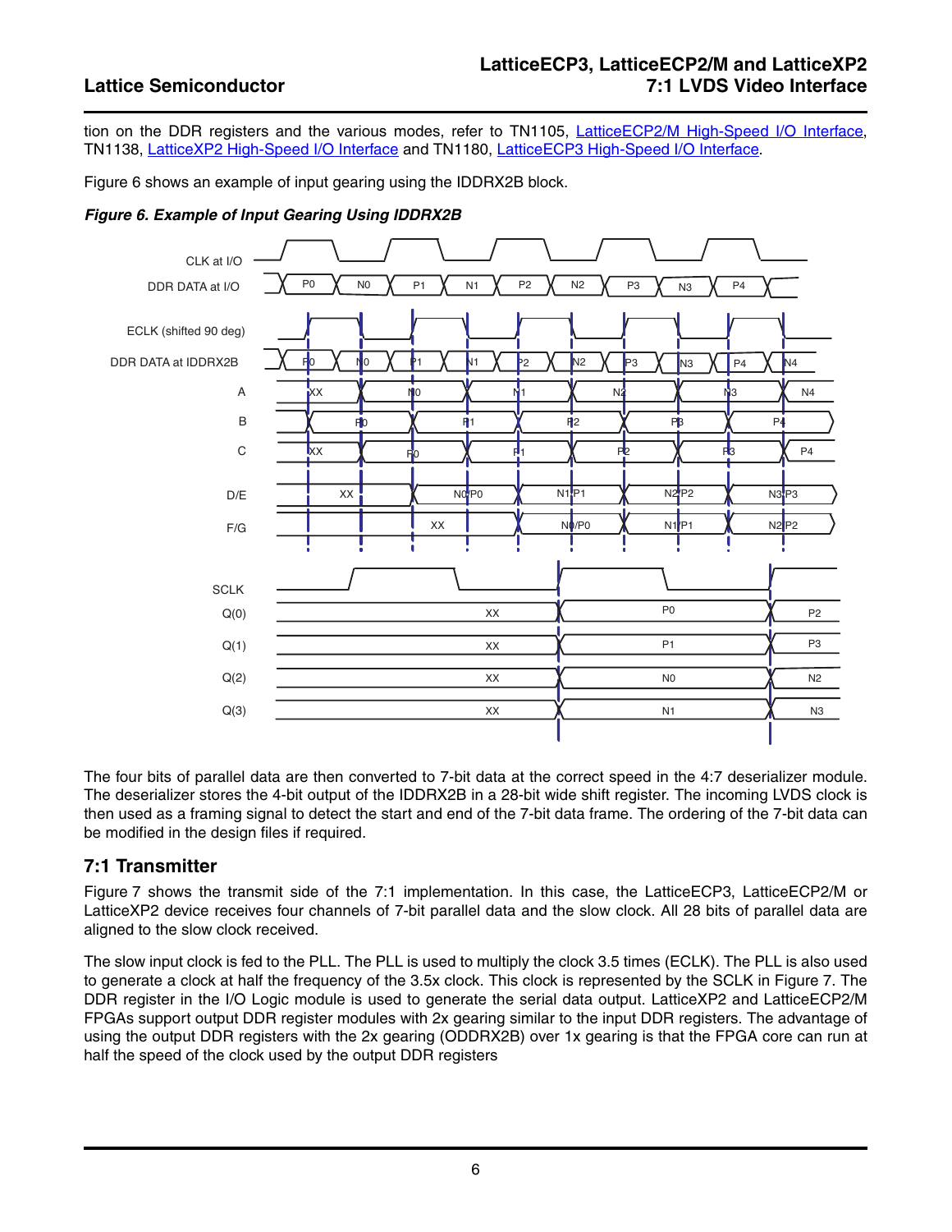tion on the DDR registers and the various modes, refer to TN1105, [LatticeECP2/M High-Speed I/O Interface](www.latticesemi.com/dynamic/view_document.cfm?document_id=21646), TN1138, [LatticeXP2 High-Speed I/O Interface](www.latticesemi.com/dynamic/view_document.cfm?document_id=23977) and TN1180, [LatticeECP3 High-Speed I/O Interface](www.latticesemi.com/dynamic/view_document.cfm?document_id=32320).

[Figure 6](#page-5-0) shows an example of input gearing using the IDDRX2B block.

<span id="page-5-0"></span>*Figure 6. Example of Input Gearing Using IDDRX2B*



The four bits of parallel data are then converted to 7-bit data at the correct speed in the 4:7 deserializer module. The deserializer stores the 4-bit output of the IDDRX2B in a 28-bit wide shift register. The incoming LVDS clock is then used as a framing signal to detect the start and end of the 7-bit data frame. The ordering of the 7-bit data can be modified in the design files if required.

### **7:1 Transmitter**

[Figure 7](#page-6-0) shows the transmit side of the 7:1 implementation. In this case, the LatticeECP3, LatticeECP2/M or LatticeXP2 device receives four channels of 7-bit parallel data and the slow clock. All 28 bits of parallel data are aligned to the slow clock received.

The slow input clock is fed to the PLL. The PLL is used to multiply the clock 3.5 times (ECLK). The PLL is also used to generate a clock at half the frequency of the 3.5x clock. This clock is represented by the SCLK in [Figure 7](#page-6-0). The DDR register in the I/O Logic module is used to generate the serial data output. LatticeXP2 and LatticeECP2/M FPGAs support output DDR register modules with 2x gearing similar to the input DDR registers. The advantage of using the output DDR registers with the 2x gearing (ODDRX2B) over 1x gearing is that the FPGA core can run at half the speed of the clock used by the output DDR registers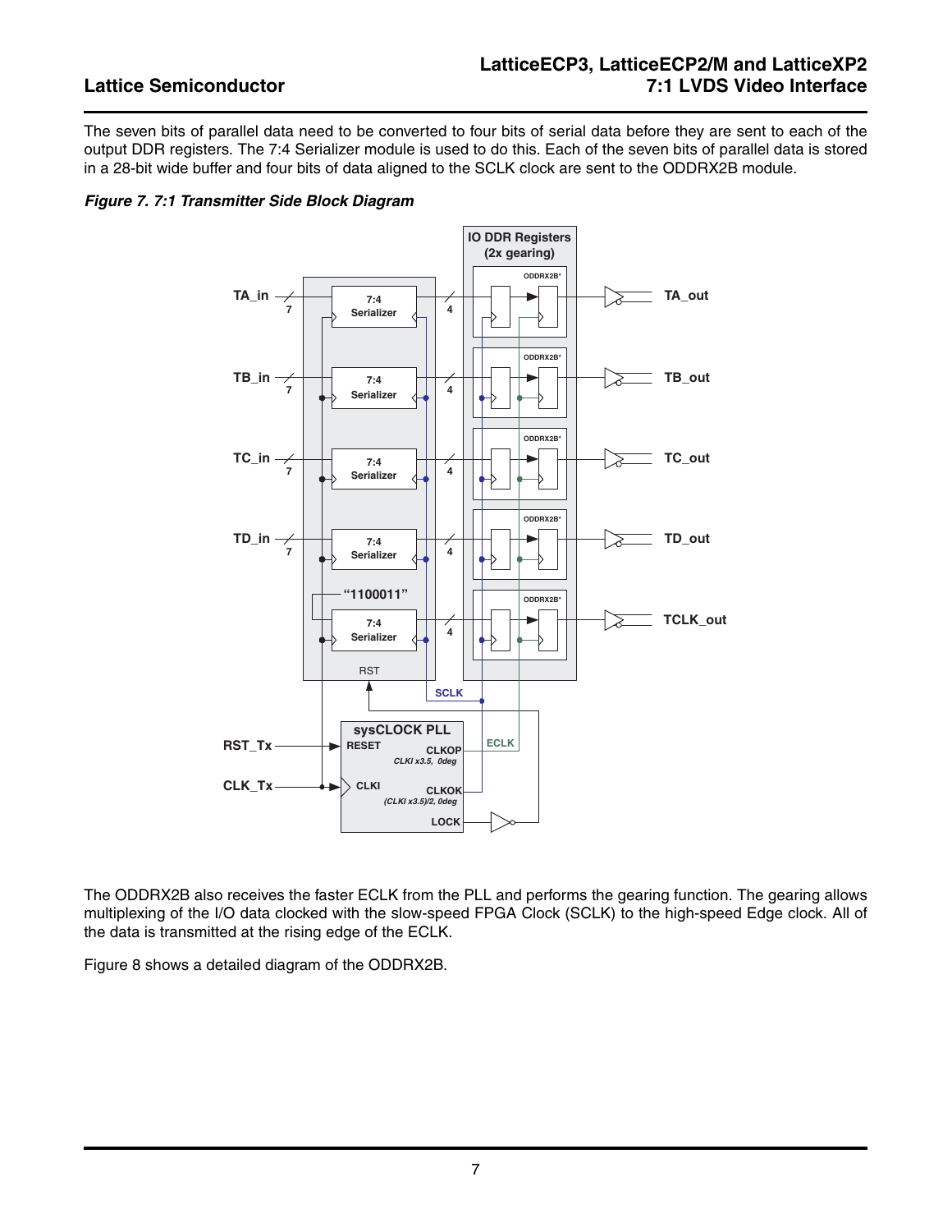The seven bits of parallel data need to be converted to four bits of serial data before they are sent to each of the output DDR registers. The 7:4 Serializer module is used to do this. Each of the seven bits of parallel data is stored in a 28-bit wide buffer and four bits of data aligned to the SCLK clock are sent to the ODDRX2B module.

### <span id="page-6-0"></span>*Figure 7. 7:1 Transmitter Side Block Diagram*



The ODDRX2B also receives the faster ECLK from the PLL and performs the gearing function. The gearing allows multiplexing of the I/O data clocked with the slow-speed FPGA Clock (SCLK) to the high-speed Edge clock. All of the data is transmitted at the rising edge of the ECLK.

[Figure 8](#page-7-0) shows a detailed diagram of the ODDRX2B.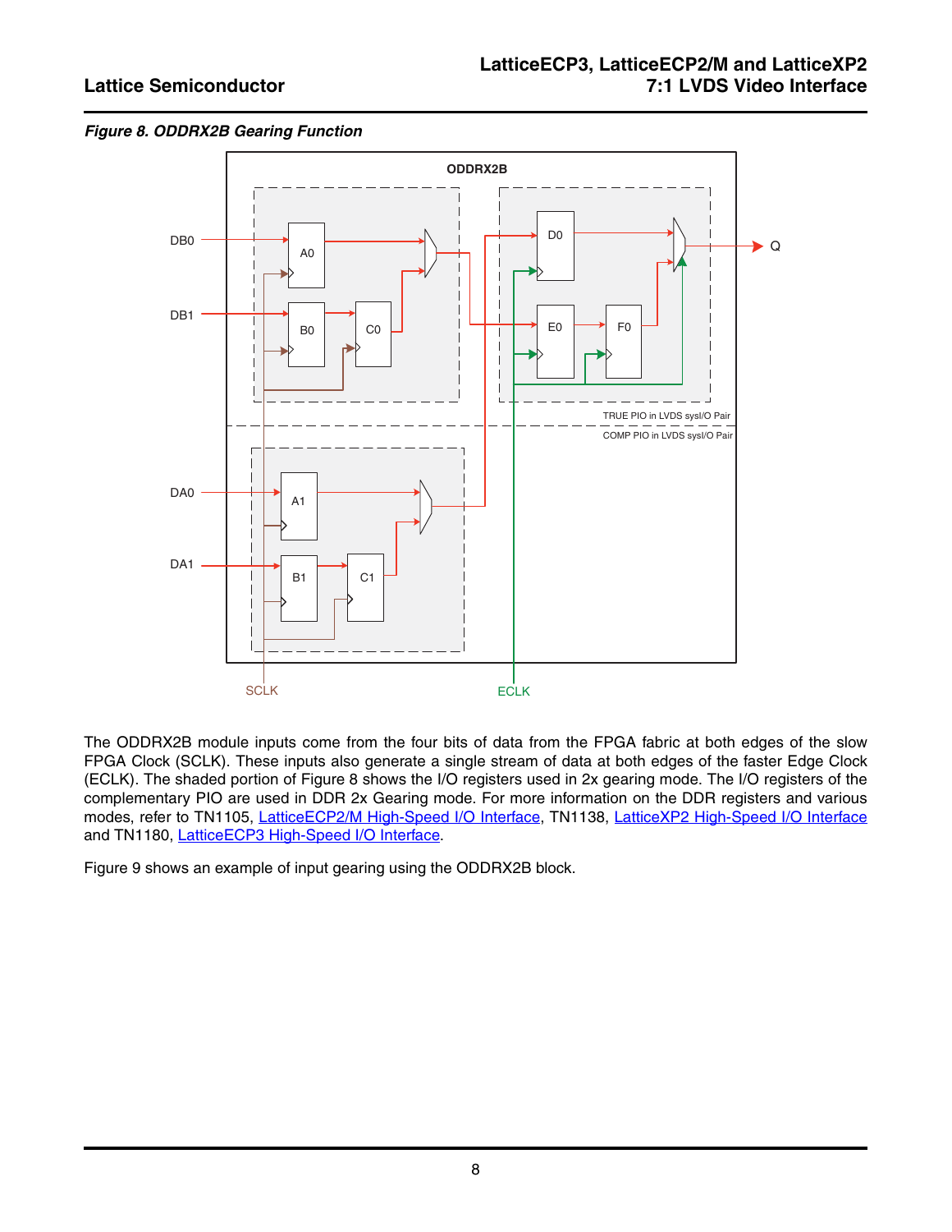<span id="page-7-0"></span>



The ODDRX2B module inputs come from the four bits of data from the FPGA fabric at both edges of the slow FPGA Clock (SCLK). These inputs also generate a single stream of data at both edges of the faster Edge Clock (ECLK). The shaded portion of [Figure 8](#page-7-0) shows the I/O registers used in 2x gearing mode. The I/O registers of the complementary PIO are used in DDR 2x Gearing mode. For more information on the DDR registers and various modes, refer to TN1105, [LatticeECP2/M High-Speed I/O Interface,](www.latticesemi.com/dynamic/view_document.cfm?document_id=21646) TN1138, [LatticeXP2 High-Speed I/O Interface](www.latticesemi.com/dynamic/view_document.cfm?document_id=23977) and TN1180, [LatticeECP3 High-Speed I/O Interface.](www.latticesemi.com/dynamic/view_document.cfm?document_id=32320)

[Figure 9](#page-8-0) shows an example of input gearing using the ODDRX2B block.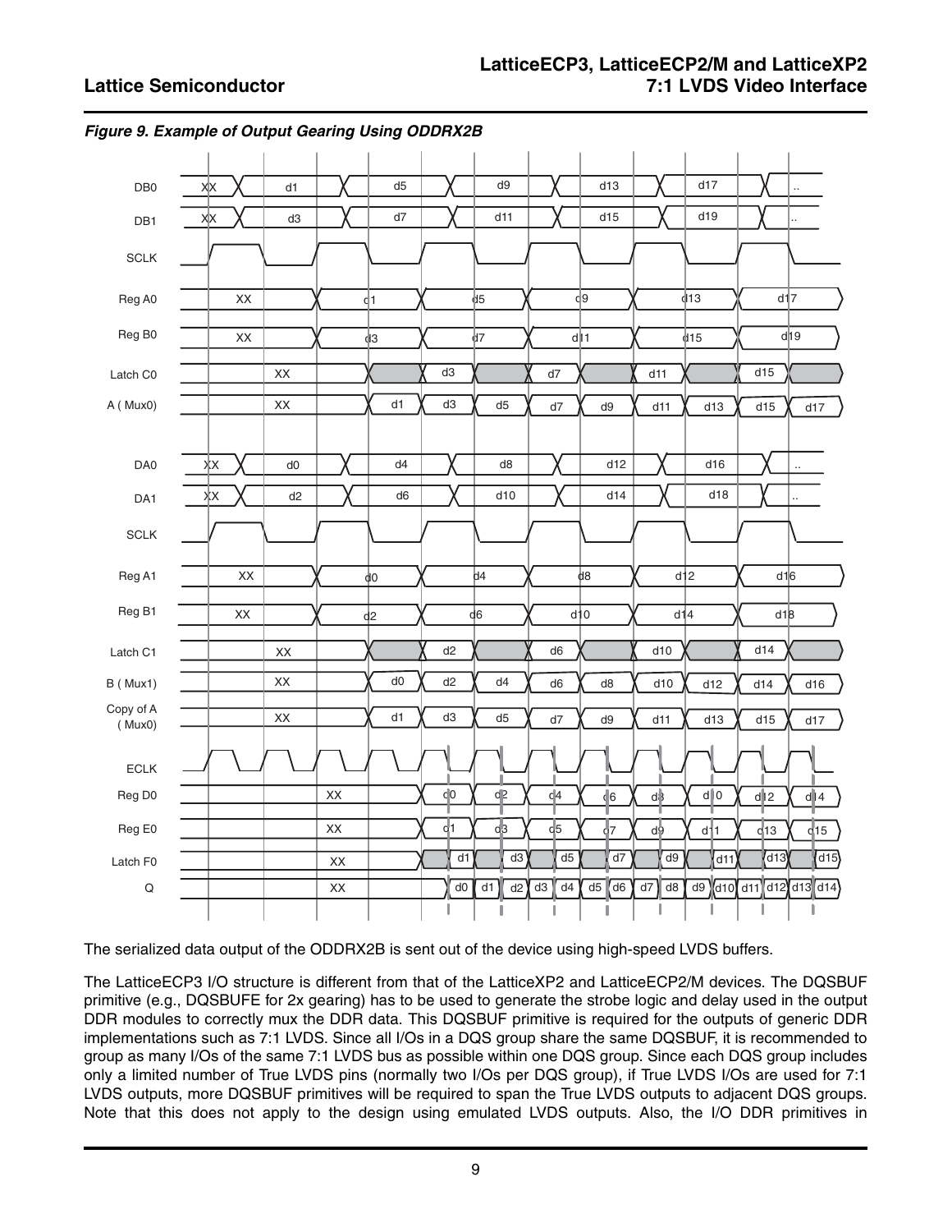

<span id="page-8-0"></span>*Figure 9. Example of Output Gearing Using ODDRX2B*

The serialized data output of the ODDRX2B is sent out of the device using high-speed LVDS buffers.

The LatticeECP3 I/O structure is different from that of the LatticeXP2 and LatticeECP2/M devices. The DQSBUF primitive (e.g., DQSBUFE for 2x gearing) has to be used to generate the strobe logic and delay used in the output DDR modules to correctly mux the DDR data. This DQSBUF primitive is required for the outputs of generic DDR implementations such as 7:1 LVDS. Since all I/Os in a DQS group share the same DQSBUF, it is recommended to group as many I/Os of the same 7:1 LVDS bus as possible within one DQS group. Since each DQS group includes only a limited number of True LVDS pins (normally two I/Os per DQS group), if True LVDS I/Os are used for 7:1 LVDS outputs, more DQSBUF primitives will be required to span the True LVDS outputs to adjacent DQS groups. Note that this does not apply to the design using emulated LVDS outputs. Also, the I/O DDR primitives in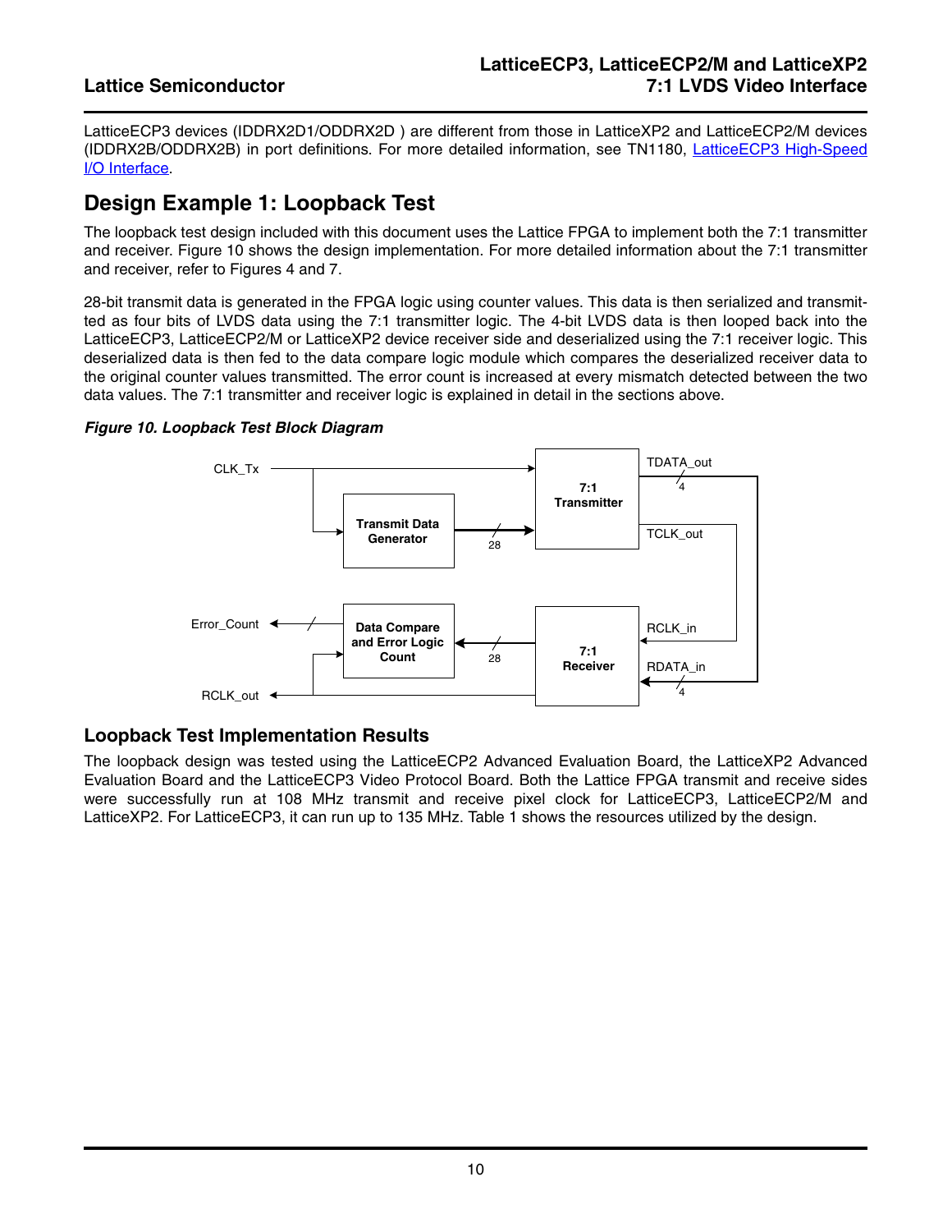LatticeECP3 devices (IDDRX2D1/ODDRX2D ) are different from those in LatticeXP2 and LatticeECP2/M devices (IDDRX2B/ODDRX2B) in port definitions. For more detailed information, see TN1180, [LatticeECP3 High-Speed](www.latticesemi.com/dynamic/view_document.cfm?document_id=32320) [I/O Interface.](www.latticesemi.com/dynamic/view_document.cfm?document_id=32320)

## **Design Example 1: Loopback Test**

The loopback test design included with this document uses the Lattice FPGA to implement both the 7:1 transmitter and receiver. [Figure 10](#page-9-0) shows the design implementation. For more detailed information about the 7:1 transmitter and receiver, refer to Figures [4](#page-3-0) and [7](#page-6-0).

28-bit transmit data is generated in the FPGA logic using counter values. This data is then serialized and transmitted as four bits of LVDS data using the 7:1 transmitter logic. The 4-bit LVDS data is then looped back into the LatticeECP3, LatticeECP2/M or LatticeXP2 device receiver side and deserialized using the 7:1 receiver logic. This deserialized data is then fed to the data compare logic module which compares the deserialized receiver data to the original counter values transmitted. The error count is increased at every mismatch detected between the two data values. The 7:1 transmitter and receiver logic is explained in detail in the sections above.

### <span id="page-9-0"></span>*Figure 10. Loopback Test Block Diagram*



## **Loopback Test Implementation Results**

The loopback design was tested using the LatticeECP2 Advanced Evaluation Board, the LatticeXP2 Advanced Evaluation Board and the LatticeECP3 Video Protocol Board. Both the Lattice FPGA transmit and receive sides were successfully run at 108 MHz transmit and receive pixel clock for LatticeECP3, LatticeECP2/M and LatticeXP2. For LatticeECP3, it can run up to 135 MHz. [Table 1](#page-10-0) shows the resources utilized by the design.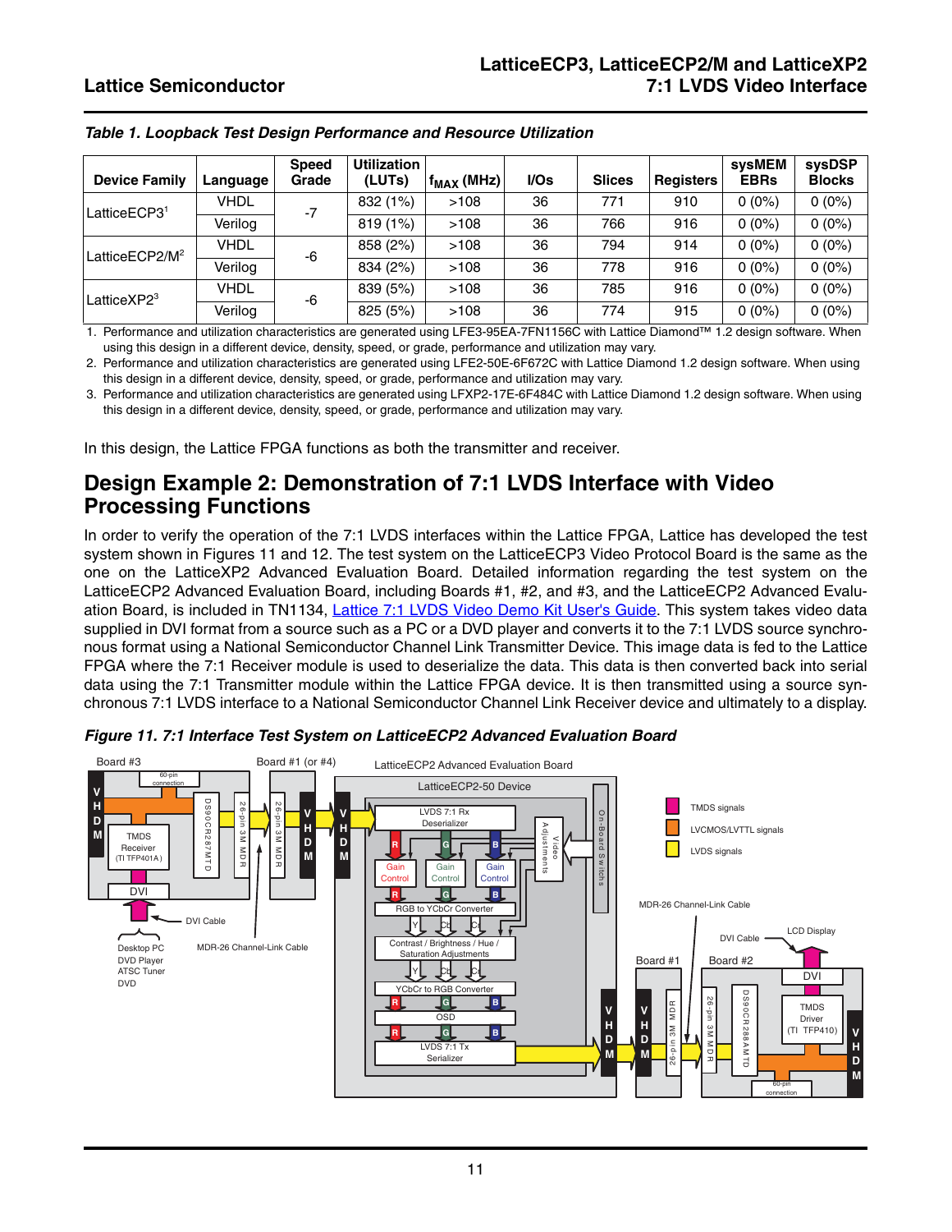| <b>Device Family</b>       | Language    | <b>Speed</b><br>Grade | <b>Utilization</b><br>(LUTs) | $f_{MAX}$ (MHz) | I/Os | <b>Slices</b> | <b>Registers</b> | sysMEM<br><b>EBRs</b> | sysDSP<br><b>Blocks</b> |
|----------------------------|-------------|-----------------------|------------------------------|-----------------|------|---------------|------------------|-----------------------|-------------------------|
| LatticeECP3 <sup>1</sup>   | <b>VHDL</b> | $-7$                  | 832 (1%)                     | >108            | 36   | 771           | 910              | $0(0\%)$              | $0(0\%)$                |
|                            | Verilog     |                       | 819 (1%)                     | >108            | 36   | 766           | 916              | $0(0\%)$              | $0(0\%)$                |
| LatticeECP2/M <sup>2</sup> | <b>VHDL</b> | -6                    | 858 (2%)                     | >108            | 36   | 794           | 914              | $0(0\%)$              | $0(0\%)$                |
|                            | Verilog     |                       | 834 (2%)                     | >108            | 36   | 778           | 916              | $0(0\%)$              | $0(0\%)$                |
| Lattice $XP2^3$            | <b>VHDL</b> | -6                    | 839 (5%)                     | >108            | 36   | 785           | 916              | $0(0\%)$              | $0(0\%)$                |
|                            | Verilog     |                       | 825 (5%)                     | >108            | 36   | 774           | 915              | $0(0\%)$              | $0(0\%)$                |

<span id="page-10-0"></span>*Table 1. Loopback Test Design Performance and Resource Utilization*

1. Performance and utilization characteristics are generated using LFE3-95EA-7FN1156C with Lattice Diamond™ 1.2 design software. When using this design in a different device, density, speed, or grade, performance and utilization may vary.

2. Performance and utilization characteristics are generated using LFE2-50E-6F672C with Lattice Diamond 1.2 design software. When using this design in a different device, density, speed, or grade, performance and utilization may vary.

3. Performance and utilization characteristics are generated using LFXP2-17E-6F484C with Lattice Diamond 1.2 design software. When using this design in a different device, density, speed, or grade, performance and utilization may vary.

In this design, the Lattice FPGA functions as both the transmitter and receiver.

## **Design Example 2: Demonstration of 7:1 LVDS Interface with Video Processing Functions**

In order to verify the operation of the 7:1 LVDS interfaces within the Lattice FPGA, Lattice has developed the test system shown in Figures [11](#page-10-1) and [12](#page-11-0). The test system on the LatticeECP3 Video Protocol Board is the same as the one on the LatticeXP2 Advanced Evaluation Board. Detailed information regarding the test system on the LatticeECP2 Advanced Evaluation Board, including Boards #1, #2, and #3, and the LatticeECP2 Advanced Evalu-ation Board, is included in TN1134, [Lattice 7:1 LVDS Video Demo Kit User's Guide](www.latticesemi.com/dynamic/view_document.cfm?document_id=22732). This system takes video data supplied in DVI format from a source such as a PC or a DVD player and converts it to the 7:1 LVDS source synchronous format using a National Semiconductor Channel Link Transmitter Device. This image data is fed to the Lattice FPGA where the 7:1 Receiver module is used to deserialize the data. This data is then converted back into serial data using the 7:1 Transmitter module within the Lattice FPGA device. It is then transmitted using a source synchronous 7:1 LVDS interface to a National Semiconductor Channel Link Receiver device and ultimately to a display.



<span id="page-10-1"></span>*Figure 11. 7:1 Interface Test System on LatticeECP2 Advanced Evaluation Board*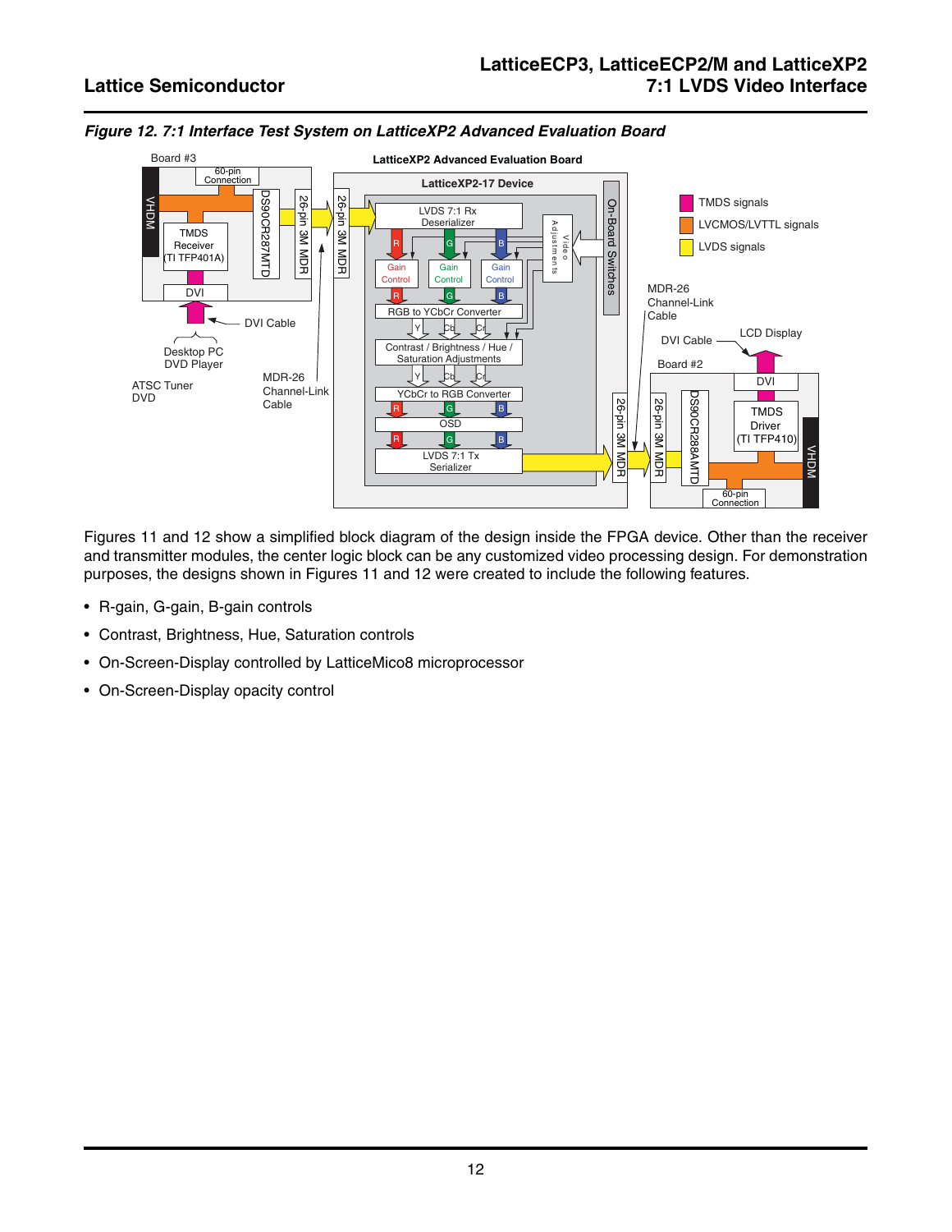

### <span id="page-11-0"></span>*Figure 12. 7:1 Interface Test System on LatticeXP2 Advanced Evaluation Board*

Figures [11](#page-10-1) and [12](#page-11-0) show a simplified block diagram of the design inside the FPGA device. Other than the receiver and transmitter modules, the center logic block can be any customized video processing design. For demonstration purposes, the designs shown in Figures [11](#page-10-1) and [12](#page-11-0) were created to include the following features.

- R-gain, G-gain, B-gain controls
- Contrast, Brightness, Hue, Saturation controls
- On-Screen-Display controlled by LatticeMico8 microprocessor
- On-Screen-Display opacity control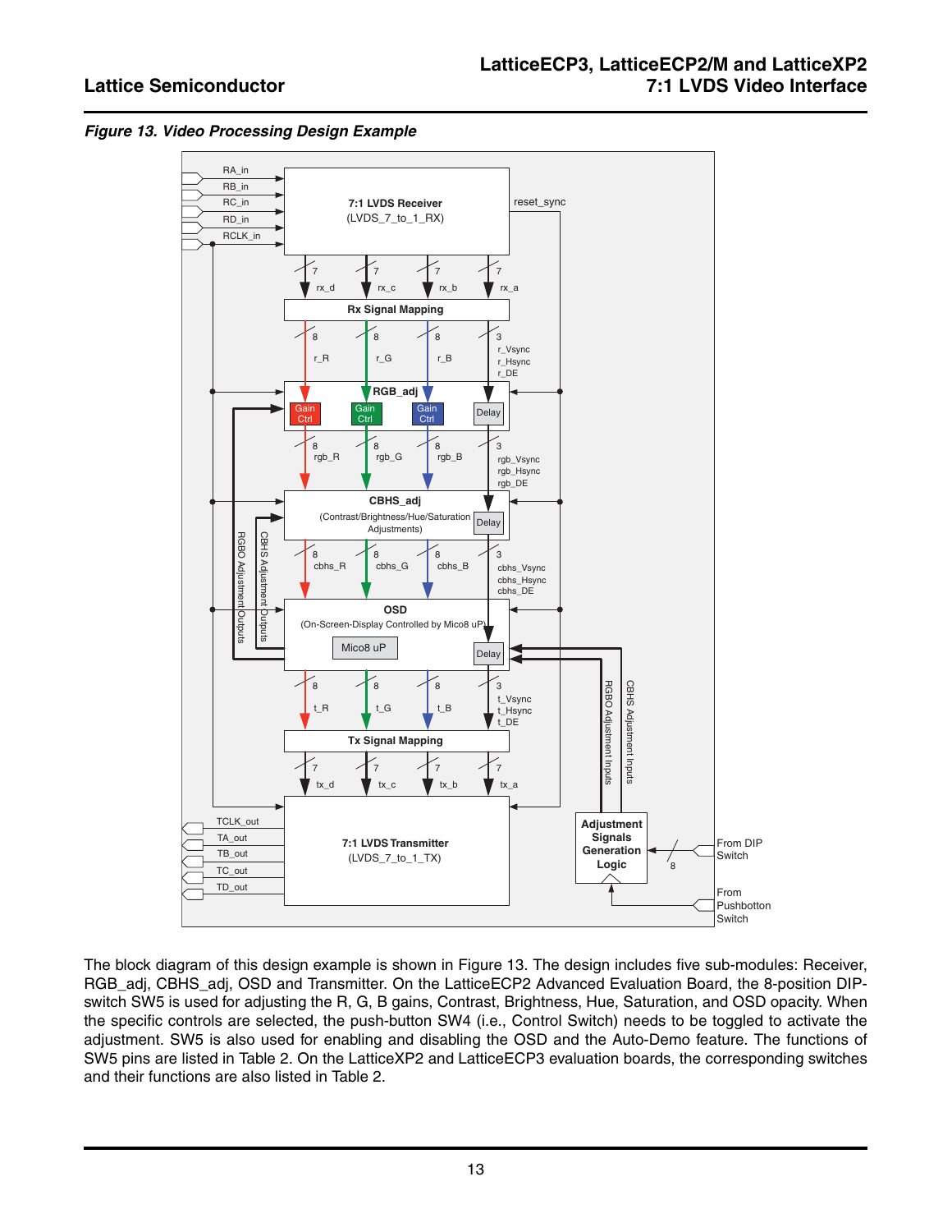<span id="page-12-0"></span>



The block diagram of this design example is shown in [Figure 13](#page-12-0). The design includes five sub-modules: Receiver, RGB\_adj, CBHS\_adj, OSD and Transmitter. On the LatticeECP2 Advanced Evaluation Board, the 8-position DIPswitch SW5 is used for adjusting the R, G, B gains, Contrast, Brightness, Hue, Saturation, and OSD opacity. When the specific controls are selected, the push-button SW4 (i.e., Control Switch) needs to be toggled to activate the adjustment. SW5 is also used for enabling and disabling the OSD and the Auto-Demo feature. The functions of SW5 pins are listed in [Table 2.](#page-13-0) On the LatticeXP2 and LatticeECP3 evaluation boards, the corresponding switches and their functions are also listed in [Table 2](#page-13-0).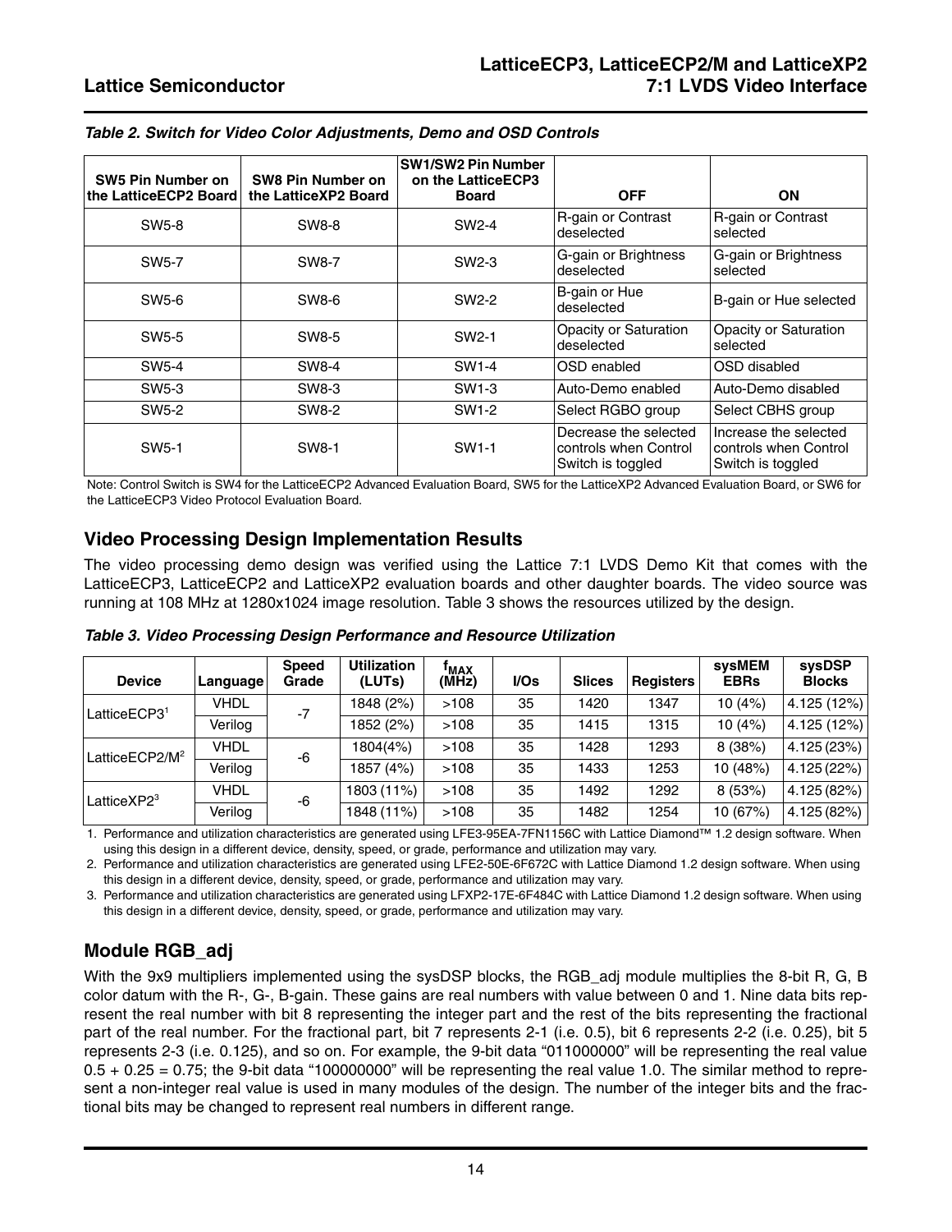| SW5 Pin Number on<br>the LatticeECP2 Board | SW8 Pin Number on<br>the LatticeXP2 Board | <b>SW1/SW2 Pin Number</b><br>on the LatticeECP3<br><b>Board</b> | <b>OFF</b>                                                          | <b>ON</b>                                                           |  |
|--------------------------------------------|-------------------------------------------|-----------------------------------------------------------------|---------------------------------------------------------------------|---------------------------------------------------------------------|--|
| SW <sub>5</sub> -8                         | SW8-8                                     | SW2-4                                                           | R-gain or Contrast<br>deselected                                    | R-gain or Contrast<br>selected                                      |  |
| SW <sub>5</sub> -7                         | SW8-7                                     | SW <sub>2</sub> -3                                              | G-gain or Brightness<br>deselected                                  | G-gain or Brightness<br>selected                                    |  |
| SW5-6                                      | SW8-6                                     | SW2-2                                                           | B-gain or Hue<br>deselected                                         | B-gain or Hue selected                                              |  |
| SW <sub>5</sub> -5                         | SW8-5                                     | SW <sub>2</sub> -1                                              | Opacity or Saturation<br>deselected                                 | Opacity or Saturation<br>selected                                   |  |
| SW <sub>5</sub> -4                         | SW8-4                                     | SW1-4                                                           | OSD enabled                                                         | OSD disabled                                                        |  |
| SW <sub>5</sub> -3                         | SW8-3                                     | SW <sub>1-3</sub>                                               | Auto-Demo enabled                                                   | Auto-Demo disabled                                                  |  |
| SW <sub>5</sub> -2                         | SW8-2                                     | SW1-2                                                           | Select RGBO group                                                   | Select CBHS group                                                   |  |
| SW <sub>5</sub> -1                         | SW8-1                                     | SW1-1                                                           | Decrease the selected<br>controls when Control<br>Switch is toggled | Increase the selected<br>controls when Control<br>Switch is toggled |  |

<span id="page-13-0"></span>*Table 2. Switch for Video Color Adjustments, Demo and OSD Controls*

Note: Control Switch is SW4 for the LatticeECP2 Advanced Evaluation Board, SW5 for the LatticeXP2 Advanced Evaluation Board, or SW6 for the LatticeECP3 Video Protocol Evaluation Board.

### **Video Processing Design Implementation Results**

The video processing demo design was verified using the Lattice 7:1 LVDS Demo Kit that comes with the LatticeECP3, LatticeECP2 and LatticeXP2 evaluation boards and other daughter boards. The video source was running at 108 MHz at 1280x1024 image resolution. [Table 3](#page-13-1) shows the resources utilized by the design.

| <b>Device</b>              | Language | <b>Speed</b><br>Grade | <b>Utilization</b><br>(LUTs) | <sup>†</sup> MAX<br>(MHz) | I/Os | <b>Slices</b> | <b>Registers</b> | svsMEM<br><b>EBRs</b> | <b>sysDSP</b><br><b>Blocks</b> |
|----------------------------|----------|-----------------------|------------------------------|---------------------------|------|---------------|------------------|-----------------------|--------------------------------|
| LatticeECP3 <sup>1</sup>   | VHDL     | -7                    | 1848 (2%)                    | >108                      | 35   | 1420          | 1347             | 10(4%)                | 4.125 (12%)                    |
|                            | Verilog  |                       | 1852 (2%)                    | >108                      | 35   | 1415          | 1315             | 10(4%)                | 4.125 (12%)                    |
| LatticeECP2/M <sup>2</sup> | VHDL     | -6                    | 1804(4%)                     | >108                      | 35   | 1428          | 1293             | 8(38%)                | 4.125 (23%)                    |
|                            | Verilog  |                       | 1857 (4%)                    | >108                      | 35   | 1433          | 1253             | 10 (48%)              | 4.125 (22%)                    |
| LatticeXP2 <sup>3</sup>    | VHDL     | -6                    | 1803 (11%)                   | >108                      | 35   | 1492          | 1292             | 8(53%)                | 4.125 (82%)                    |
|                            | Verilog  |                       | 1848 (11%)                   | >108                      | 35   | 1482          | 1254             | 10 (67%)              | 4.125 (82%)                    |

<span id="page-13-1"></span>*Table 3. Video Processing Design Performance and Resource Utilization*

1. Performance and utilization characteristics are generated using LFE3-95EA-7FN1156C with Lattice Diamond™ 1.2 design software. When using this design in a different device, density, speed, or grade, performance and utilization may vary.

2. Performance and utilization characteristics are generated using LFE2-50E-6F672C with Lattice Diamond 1.2 design software. When using this design in a different device, density, speed, or grade, performance and utilization may vary.

3. Performance and utilization characteristics are generated using LFXP2-17E-6F484C with Lattice Diamond 1.2 design software. When using this design in a different device, density, speed, or grade, performance and utilization may vary.

## **Module RGB\_adj**

With the 9x9 multipliers implemented using the sysDSP blocks, the RGB\_adj module multiplies the 8-bit R, G, B color datum with the R-, G-, B-gain. These gains are real numbers with value between 0 and 1. Nine data bits represent the real number with bit 8 representing the integer part and the rest of the bits representing the fractional part of the real number. For the fractional part, bit 7 represents 2-1 (i.e. 0.5), bit 6 represents 2-2 (i.e. 0.25), bit 5 represents 2-3 (i.e. 0.125), and so on. For example, the 9-bit data "011000000" will be representing the real value  $0.5 + 0.25 = 0.75$ ; the 9-bit data "100000000" will be representing the real value 1.0. The similar method to represent a non-integer real value is used in many modules of the design. The number of the integer bits and the fractional bits may be changed to represent real numbers in different range.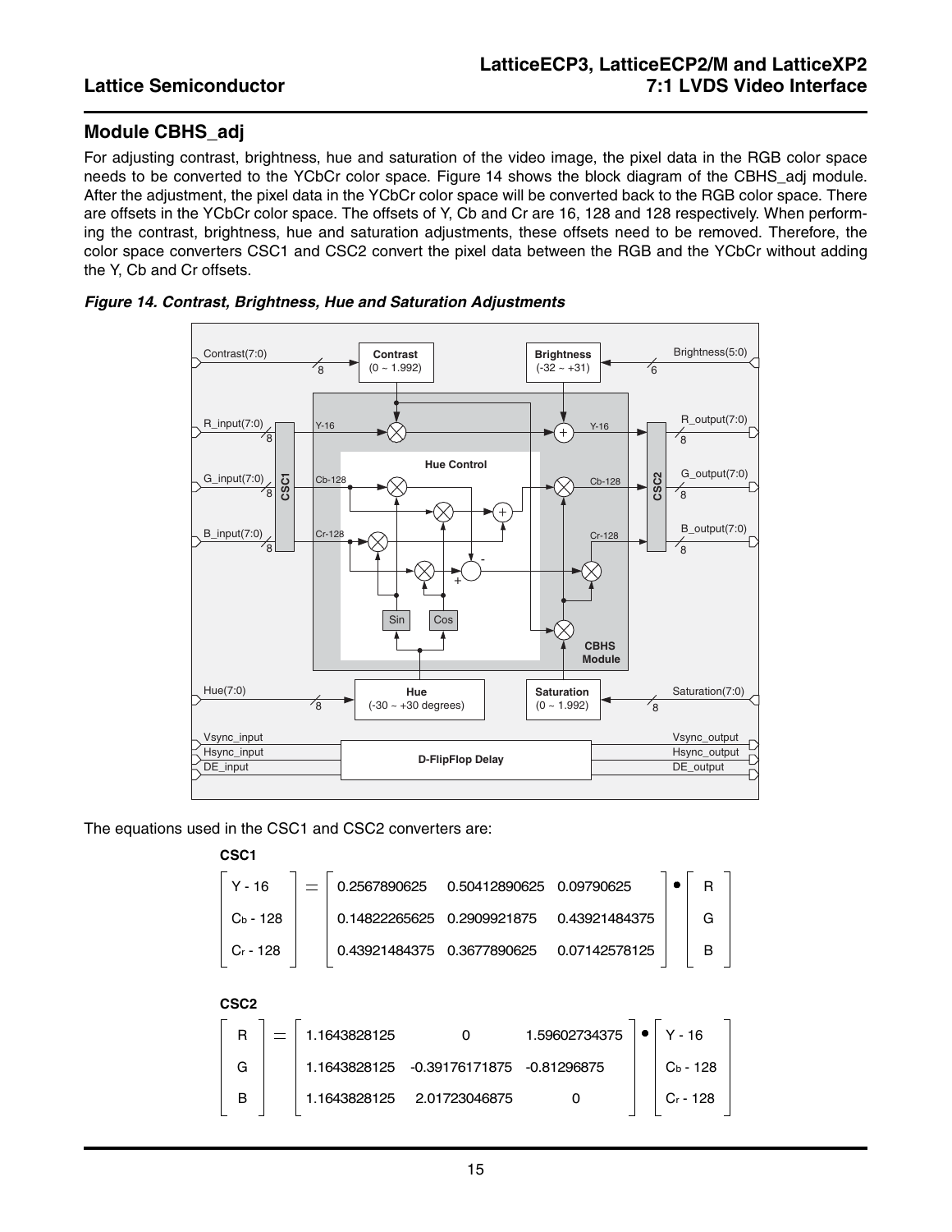## **Module CBHS\_adj**

For adjusting contrast, brightness, hue and saturation of the video image, the pixel data in the RGB color space needs to be converted to the YCbCr color space. [Figure 14](#page-14-0) shows the block diagram of the CBHS\_adj module. After the adjustment, the pixel data in the YCbCr color space will be converted back to the RGB color space. There are offsets in the YCbCr color space. The offsets of Y, Cb and Cr are 16, 128 and 128 respectively. When performing the contrast, brightness, hue and saturation adjustments, these offsets need to be removed. Therefore, the color space converters CSC1 and CSC2 convert the pixel data between the RGB and the YCbCr without adding the Y, Cb and Cr offsets.



### <span id="page-14-0"></span>*Figure 14. Contrast, Brightness, Hue and Saturation Adjustments*

The equations used in the CSC1 and CSC2 converters are:

| $Y - 16$         |  |                                              |               |                                 |                                             |                                                                           |                                | R          |
|------------------|--|----------------------------------------------|---------------|---------------------------------|---------------------------------------------|---------------------------------------------------------------------------|--------------------------------|------------|
| $C_b - 128$      |  |                                              |               |                                 |                                             |                                                                           |                                | G          |
| $Cr - 128$       |  |                                              |               |                                 |                                             |                                                                           |                                | B          |
| CSC <sub>2</sub> |  |                                              |               |                                 |                                             |                                                                           |                                |            |
|                  |  |                                              |               |                                 |                                             |                                                                           | $Y - 16$                       |            |
|                  |  |                                              |               |                                 |                                             |                                                                           |                                | $Cb - 128$ |
|                  |  |                                              |               |                                 |                                             |                                                                           |                                | Cr - 128   |
|                  |  | 1.1643828125<br>1.1643828125<br>1.1643828125 | 0.14822265625 | -0.39176171875<br>2.01723046875 | 0.2909921875<br>0.43921484375  0.3677890625 | 0.2567890625  0.50412890625  0.09790625<br>1.59602734375<br>$-0.81296875$ | 0.43921484375<br>0.07142578125 |            |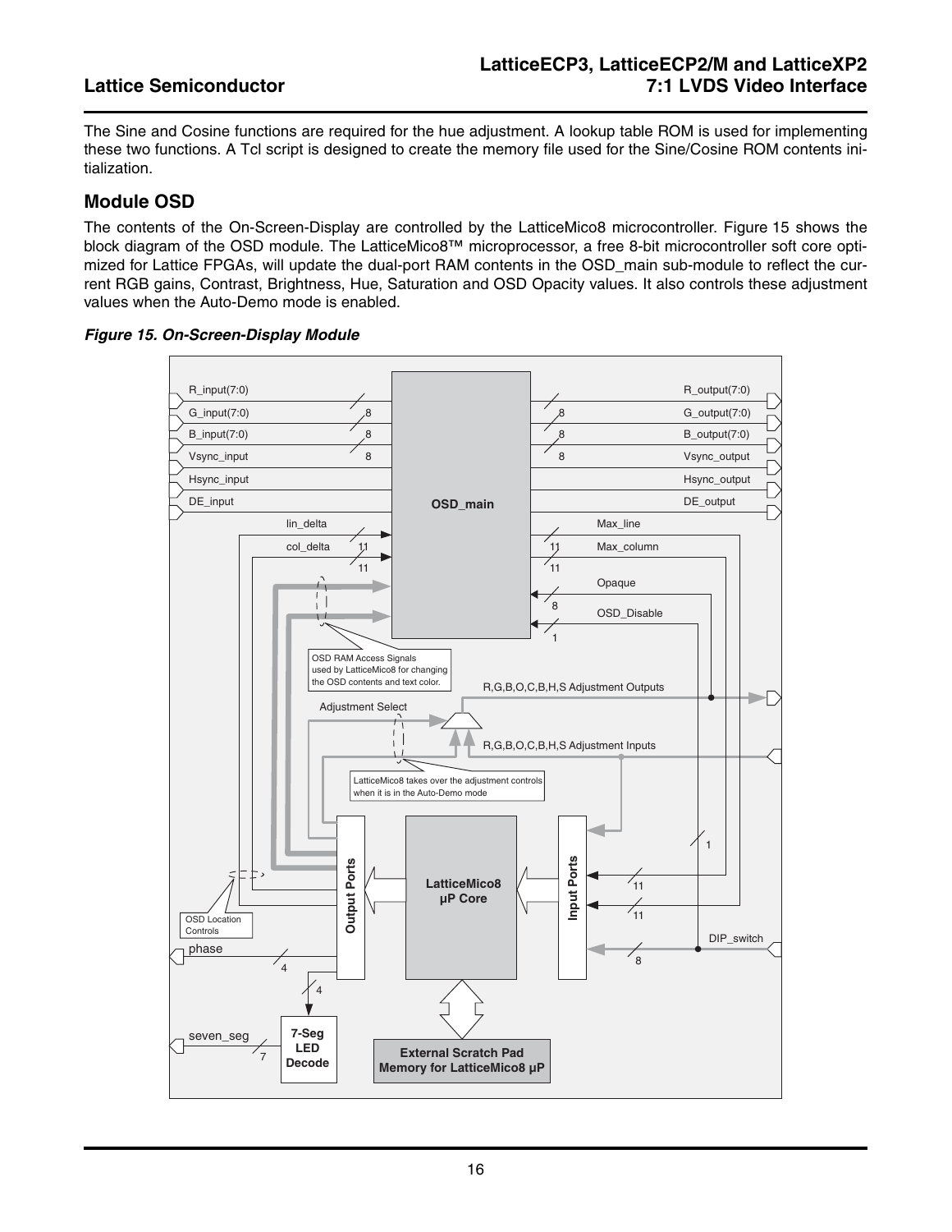The Sine and Cosine functions are required for the hue adjustment. A lookup table ROM is used for implementing these two functions. A Tcl script is designed to create the memory file used for the Sine/Cosine ROM contents initialization.

### **Module OSD**

The contents of the On-Screen-Display are controlled by the LatticeMico8 microcontroller. [Figure 15](#page-15-0) shows the block diagram of the OSD module. The LatticeMico8™ microprocessor, a free 8-bit microcontroller soft core optimized for Lattice FPGAs, will update the dual-port RAM contents in the OSD\_main sub-module to reflect the current RGB gains, Contrast, Brightness, Hue, Saturation and OSD Opacity values. It also controls these adjustment values when the Auto-Demo mode is enabled.

### <span id="page-15-0"></span>*Figure 15. On-Screen-Display Module*

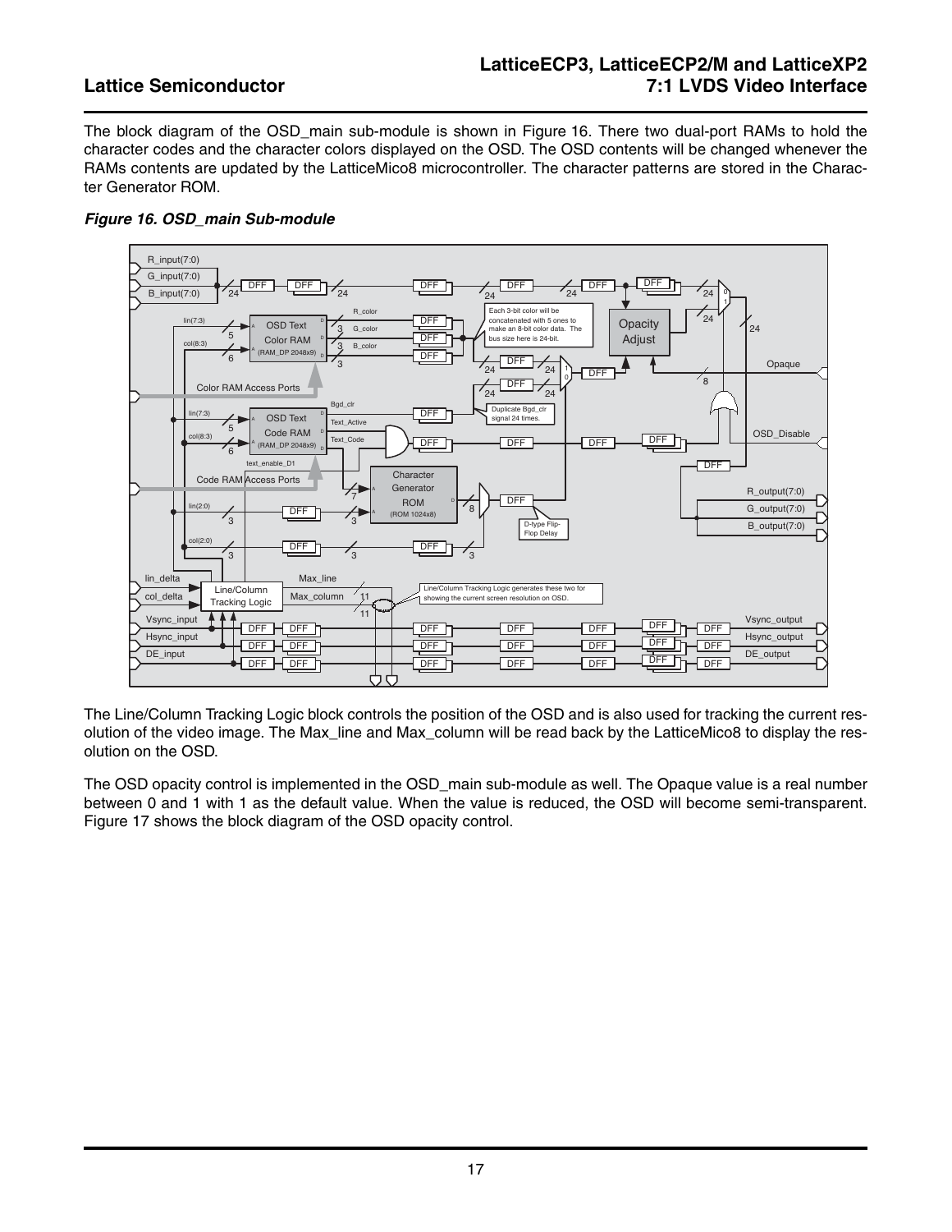## **LatticeECP3, LatticeECP2/M and LatticeXP2 Lattice Semiconductor 7:1 LVDS Video Interface**

The block diagram of the OSD main sub-module is shown in [Figure 16](#page-16-0). There two dual-port RAMs to hold the character codes and the character colors displayed on the OSD. The OSD contents will be changed whenever the RAMs contents are updated by the LatticeMico8 microcontroller. The character patterns are stored in the Character Generator ROM.



### <span id="page-16-0"></span>*Figure 16. OSD\_main Sub-module*

The Line/Column Tracking Logic block controls the position of the OSD and is also used for tracking the current resolution of the video image. The Max\_line and Max\_column will be read back by the LatticeMico8 to display the resolution on the OSD.

The OSD opacity control is implemented in the OSD\_main sub-module as well. The Opaque value is a real number between 0 and 1 with 1 as the default value. When the value is reduced, the OSD will become semi-transparent. [Figure 17](#page-17-0) shows the block diagram of the OSD opacity control.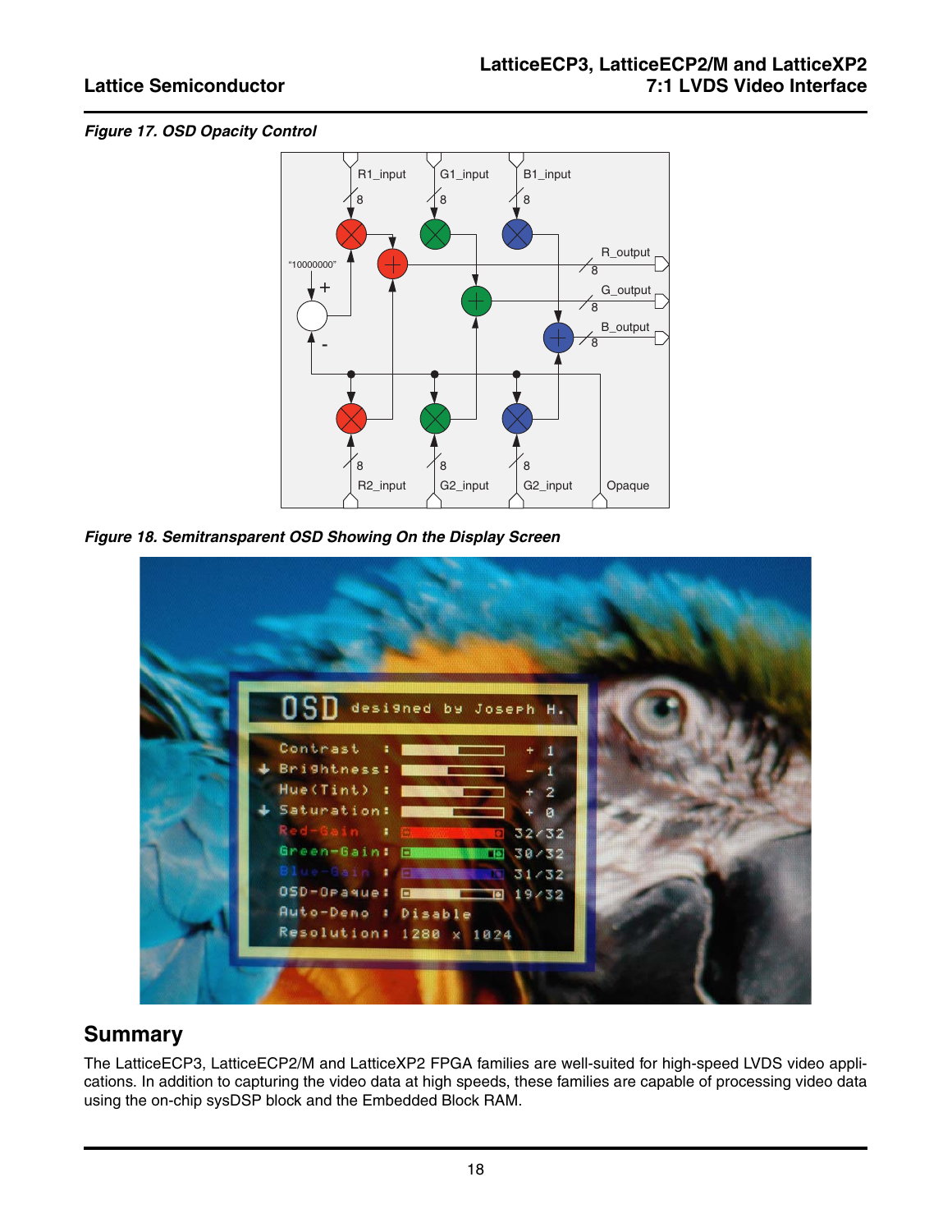### <span id="page-17-0"></span>*Figure 17. OSD Opacity Control*



*Figure 18. Semitransparent OSD Showing On the Display Screen*



## **Summary**

The LatticeECP3, LatticeECP2/M and LatticeXP2 FPGA families are well-suited for high-speed LVDS video applications. In addition to capturing the video data at high speeds, these families are capable of processing video data using the on-chip sysDSP block and the Embedded Block RAM.